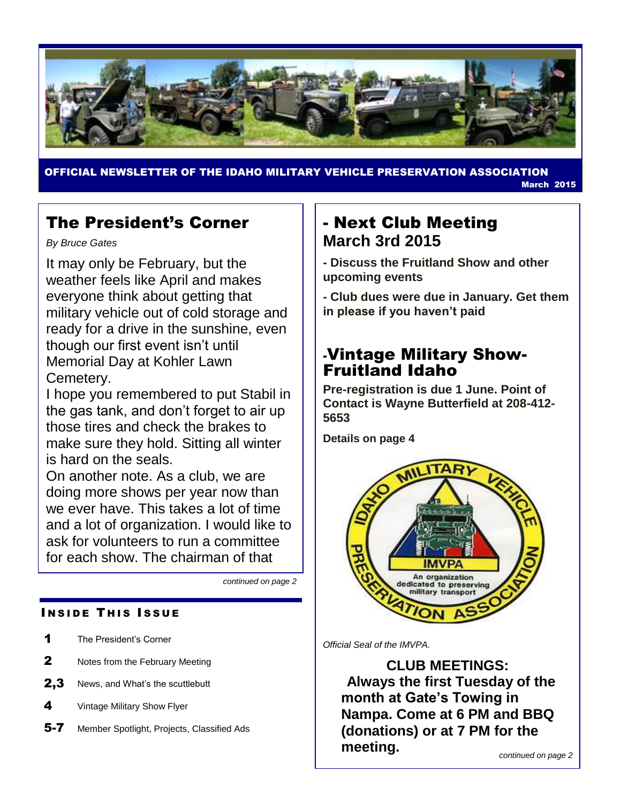

OFFICIAL NEWSLETTER OF THE IDAHO MILITARY VEHICLE PRESERVATION ASSOCIATION

March 2015

# The President's Corner

*By Bruce Gates*

It may only be February, but the weather feels like April and makes everyone think about getting that military vehicle out of cold storage and ready for a drive in the sunshine, even though our first event isn't until Memorial Day at Kohler Lawn Cemetery.

I hope you remembered to put Stabil in the gas tank, and don't forget to air up those tires and check the brakes to make sure they hold. Sitting all winter is hard on the seals.

On another note. As a club, we are doing more shows per year now than we ever have. This takes a lot of time and a lot of organization. I would like to ask for volunteers to run a committee for each show. The chairman of that

*continued on page 2*

#### **INSIDE THIS ISSUE**

- 1 The President's Corner
- 2 Notes from the February Meeting
- 2.3 News, and What's the scuttlebutt
- 4 Vintage Military Show Flyer
- 5-7 Member Spotlight, Projects, Classified Ads

## - Next Club Meeting **March 3rd 2015**

**- Discuss the Fruitland Show and other upcoming events**

**- Club dues were due in January. Get them in please if you haven't paid**

## -Vintage Military Show-Fruitland Idaho

**Pre-registration is due 1 June. Point of Contact is Wayne Butterfield at 208-412- 5653**

**Details on page 4**



*Official Seal of the IMVPA.*

**CLUB MEETINGS: Always the first Tuesday of the month at Gate's Towing in Nampa. Come at 6 PM and BBQ (donations) or at 7 PM for the meeting.** *continued on page 2*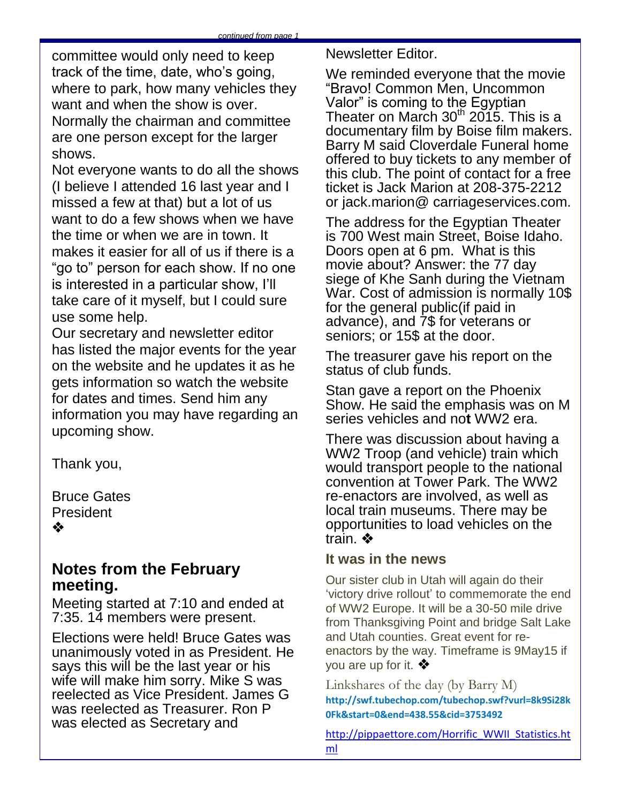committee would only need to keep track of the time, date, who's going, where to park, how many vehicles they want and when the show is over. Normally the chairman and committee are one person except for the larger shows.

Not everyone wants to do all the shows (I believe I attended 16 last year and I missed a few at that) but a lot of us want to do a few shows when we have the time or when we are in town. It makes it easier for all of us if there is a "go to" person for each show. If no one is interested in a particular show, I'll take care of it myself, but I could sure use some help.

Our secretary and newsletter editor has listed the major events for the year on the website and he updates it as he gets information so watch the website for dates and times. Send him any information you may have regarding an upcoming show.

Thank you,

Bruce Gates President ❖

## **Notes from the February meeting.**

Meeting started at 7:10 and ended at 7:35. 14 members were present.

Elections were held! Bruce Gates was unanimously voted in as President. He says this will be the last year or his wife will make him sorry. Mike S was reelected as Vice President. James G was reelected as Treasurer. Ron P was elected as Secretary and

Newsletter Editor.

We reminded everyone that the movie "Bravo! Common Men, Uncommon Valor" is coming to the Egyptian Theater on March  $30<sup>th</sup>$  2015. This is a documentary film by Boise film makers. Barry M said Cloverdale Funeral home offered to buy tickets to any member of this club. The point of contact for a free ticket is Jack Marion at 208-375-2212 or jack.marion@ carriageservices.com.

The address for the Egyptian Theater is 700 West main Street, Boise Idaho. Doors open at 6 pm. What is this movie about? Answer: the 77 day siege of Khe Sanh during the Vietnam War. Cost of admission is normally 10\$ for the general public(if paid in advance), and 7\$ for veterans or seniors; or 15\$ at the door.

The treasurer gave his report on the status of club funds.

Stan gave a report on the Phoenix Show. He said the emphasis was on M series vehicles and no**t** WW2 era.

There was discussion about having a WW2 Troop (and vehicle) train which would transport people to the national convention at Tower Park. The WW2 re-enactors are involved, as well as local train museums. There may be opportunities to load vehicles on the train. ❖

## **It was in the news**

Our sister club in Utah will again do their 'victory drive rollout' to commemorate the end of WW2 Europe. It will be a 30-50 mile drive from Thanksgiving Point and bridge Salt Lake and Utah counties. Great event for reenactors by the way. Timeframe is 9May15 if you are up for it.  $\clubsuit$ 

Linkshares of the day (by Barry M) **[http://swf.tubechop.com/tubechop.swf?vurl=8k9Si28k](http://swf.tubechop.com/tubechop.swf?vurl=8k9Si28k0Fk&start=0&end=438.55&cid=3753492) [0Fk&start=0&end=438.55&cid=3753492](http://swf.tubechop.com/tubechop.swf?vurl=8k9Si28k0Fk&start=0&end=438.55&cid=3753492)**

[http://pippaettore.com/Horrific\\_WWII\\_Statistics.ht](http://pippaettore.com/Horrific_WWII_Statistics.html) [ml](http://pippaettore.com/Horrific_WWII_Statistics.html)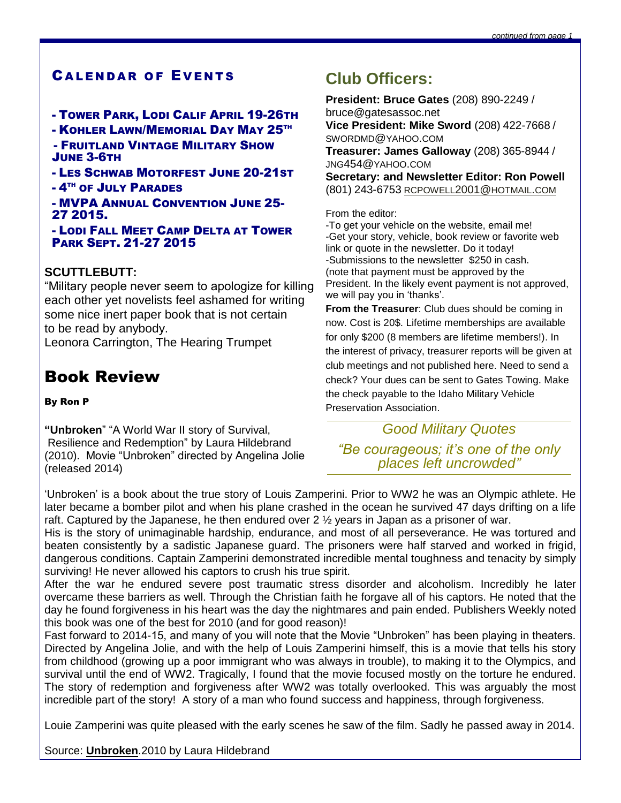### **CALENDAR OF EVENTS**

#### - TOWER PARK, LODI CALIF APRIL 19-26TH

- KOHLER LAWN/MEMORIAL DAY MAY 25TH
- FRUITLAND VINTAGE MILITARY SHOW JUNE 3-6TH
- LES SCHWAB MOTORFEST JUNE 20-21ST
- 4<sup>th</sup> of July Parades

#### - MVPA ANNUAL CONVENTION JUNE 25- 27 2015.

#### - LODI FALL MEET CAMP DELTA AT TOWER PARK SEPT. 21-27 2015

#### **SCUTTLEBUTT:**

"Military people never seem to apologize for killing each other yet novelists feel ashamed for writing some nice inert paper book that is not certain to be read by anybody.

Leonora Carrington, The Hearing Trumpet

## Book Review

#### By Ron P

**"Unbroken**" "A World War II story of Survival, Resilience and Redemption" by Laura Hildebrand (2010). Movie "Unbroken" directed by Angelina Jolie (released 2014)

## **Club Officers:**

**President: Bruce Gates** (208) 890-2249 / bruce@gatesassoc.net **Vice President: Mike Sword** (208) 422-7668 / SWORDMD@YAHOO.COM **Treasurer: James Galloway** (208) 365-8944 / JNG454@YAHOO.COM **Secretary: and Newsletter Editor: Ron Powell**  (801) 243-6753 [RCPOWELL](mailto:rcpowell2001@hotmail.com)2001@HOTMAIL.COM

#### From the editor:

-To get your vehicle on the website, email me! -Get your story, vehicle, book review or favorite web link or quote in the newsletter. Do it today! -Submissions to the newsletter \$250 in cash. (note that payment must be approved by the President. In the likely event payment is not approved, we will pay you in 'thanks'.

**From the Treasurer**: Club dues should be coming in now. Cost is 20\$. Lifetime memberships are available for only \$200 (8 members are lifetime members!). In the interest of privacy, treasurer reports will be given at club meetings and not published here. Need to send a check? Your dues can be sent to Gates Towing. Make the check payable to the Idaho Military Vehicle Preservation Association.

*Good Military Quotes*

*"Be courageous; it's one of the only places left uncrowded"*

'Unbroken' is a book about the true story of Louis Zamperini. Prior to WW2 he was an Olympic athlete. He later became a bomber pilot and when his plane crashed in the ocean he survived 47 days drifting on a life raft. Captured by the Japanese, he then endured over 2 ½ years in Japan as a prisoner of war.

His is the story of unimaginable hardship, endurance, and most of all perseverance. He was tortured and beaten consistently by a sadistic Japanese guard. The prisoners were half starved and worked in frigid, dangerous conditions. Captain Zamperini demonstrated incredible mental toughness and tenacity by simply surviving! He never allowed his captors to crush his true spirit.

After the war he endured severe post traumatic stress disorder and alcoholism. Incredibly he later overcame these barriers as well. Through the Christian faith he forgave all of his captors. He noted that the day he found forgiveness in his heart was the day the nightmares and pain ended. Publishers Weekly noted this book was one of the best for 2010 (and for good reason)!

Fast forward to 2014-15, and many of you will note that the Movie "Unbroken" has been playing in theaters. Directed by Angelina Jolie, and with the help of Louis Zamperini himself, this is a movie that tells his story from childhood (growing up a poor immigrant who was always in trouble), to making it to the Olympics, and survival until the end of WW2. Tragically, I found that the movie focused mostly on the torture he endured. The story of redemption and forgiveness after WW2 was totally overlooked. This was arguably the most incredible part of the story! A story of a man who found success and happiness, through forgiveness.

Louie Zamperini was quite pleased with the early scenes he saw of the film. Sadly he passed away in 2014.

Source: **Unbroken**.2010 by Laura Hildebrand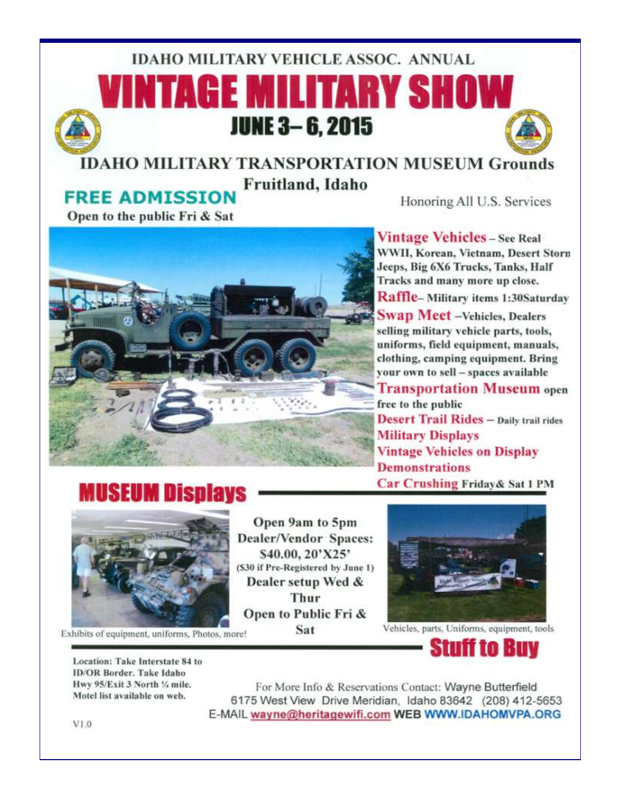# **IDAHO MILITARY VEHICLE ASSOC. ANNUAL NTAGE MILITARY SHOW JUNE 3-6, 2015**



### **IDAHO MILITARY TRANSPORTATION MUSEUM Grounds** Fruitland, Idaho **FREE ADMISSION**

Honoring All U.S. Services

Open to the public Fri & Sat



**Vintage Vehicles - See Real** WWII, Korean, Vietnam, Desert Storn Jeeps, Big 6X6 Trucks, Tanks, Half Tracks and many more up close. Raffle-Military items 1:30Saturday **Swap Meet-Vehicles, Dealers** selling military vehicle parts, tools, uniforms, field equipment, manuals, clothing, camping equipment. Bring your own to sell - spaces available **Transportation Museum open** free to the public **Desert Trail Rides - Daily trail rides Military Displays Vintage Vehicles on Display Demonstrations** Car Crushing Friday & Sat 1 PM



Exhibits of equipment, uniforms, Photos, more!

Location: Take Interstate 84 to **ID/OR Border. Take Idaho** Hwy 95/Exit 3 North 1/4 mile. Motel list available on web.

Open 9am to 5pm **Dealer/Vendor Spaces:** \$40.00, 20'X25' (\$30 if Pre-Registered by June 1) Dealer setup Wed & Thur Open to Public Fri & Sat



Vehicles, parts, Uniforms, equipment, tools



For More Info & Reservations Contact: Wayne Butterfield 6175 West View Drive Meridian, Idaho 83642 (208) 412-5653 E-MAIL wayne@heritagewifi.com WEB WWW.IDAHOMVPA.ORG

 $V1.0$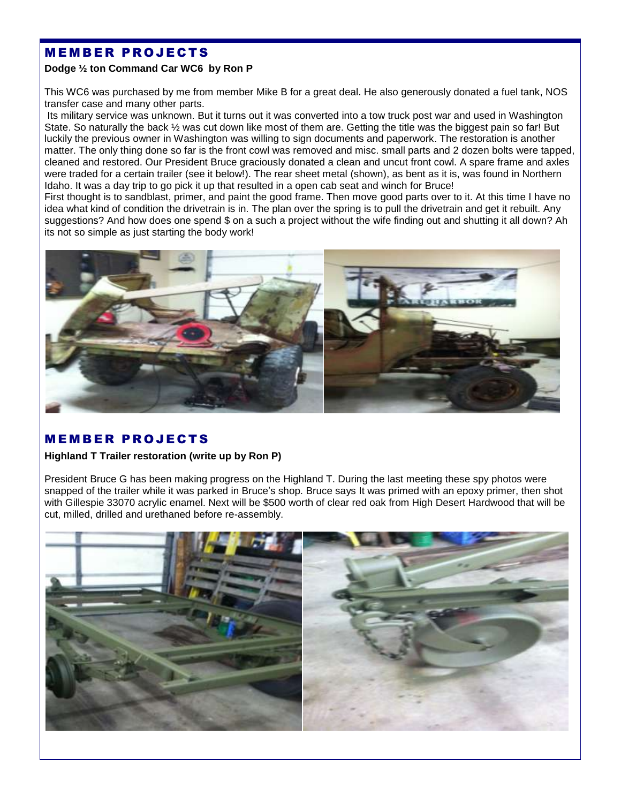#### **MEMBER PROJECTS**

#### **Dodge ½ ton Command Car WC6 by Ron P**

This WC6 was purchased by me from member Mike B for a great deal. He also generously donated a fuel tank, NOS transfer case and many other parts.

Its military service was unknown. But it turns out it was converted into a tow truck post war and used in Washington State. So naturally the back ½ was cut down like most of them are. Getting the title was the biggest pain so far! But luckily the previous owner in Washington was willing to sign documents and paperwork. The restoration is another matter. The only thing done so far is the front cowl was removed and misc. small parts and 2 dozen bolts were tapped, cleaned and restored. Our President Bruce graciously donated a clean and uncut front cowl. A spare frame and axles were traded for a certain trailer (see it below!). The rear sheet metal (shown), as bent as it is, was found in Northern Idaho. It was a day trip to go pick it up that resulted in a open cab seat and winch for Bruce!

First thought is to sandblast, primer, and paint the good frame. Then move good parts over to it. At this time I have no idea what kind of condition the drivetrain is in. The plan over the spring is to pull the drivetrain and get it rebuilt. Any suggestions? And how does one spend \$ on a such a project without the wife finding out and shutting it all down? Ah its not so simple as just starting the body work!



#### **MEMBER PROJECTS**

#### **Highland T Trailer restoration (write up by Ron P)**

President Bruce G has been making progress on the Highland T. During the last meeting these spy photos were snapped of the trailer while it was parked in Bruce's shop. Bruce says It was primed with an epoxy primer, then shot with Gillespie 33070 acrylic enamel. Next will be \$500 worth of clear red oak from High Desert Hardwood that will be cut, milled, drilled and urethaned before re-assembly.